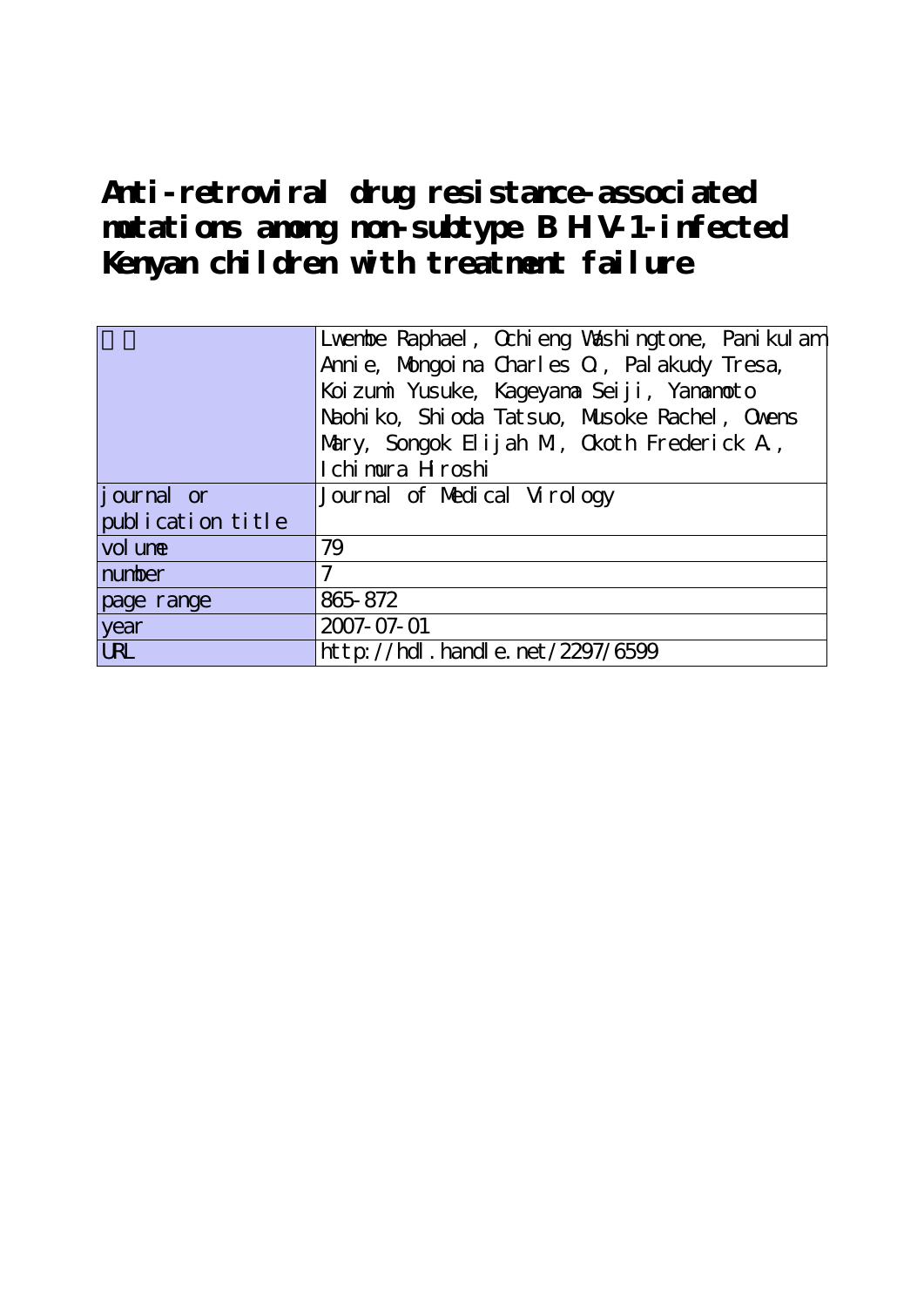**Anti-retroviral drug resistance-associated mutations among non-subtype B HIV-1-infected Kenyan children with treatment failure**

|                    | Lventbe Raphael, Ochieng Vashingtone, Panikulam |  |  |  |  |
|--------------------|-------------------------------------------------|--|--|--|--|
|                    | Annie, Mongoina Charles O, Palakudy Tresa,      |  |  |  |  |
|                    | Koi zumi Yusuke, Kageyana Seiji, Yananoto       |  |  |  |  |
|                    | Naohi ko, Shi oda Tatsuo, Musoke Rachel, Ovens  |  |  |  |  |
|                    | Mary, Songok Elijah M, Okoth Frederick A,       |  |  |  |  |
|                    | I chi mura H roshi                              |  |  |  |  |
| <i>j</i> ournal or | Journal of Medical Virology                     |  |  |  |  |
| publication title  |                                                 |  |  |  |  |
| vol une            | 79                                              |  |  |  |  |
| number             | 7                                               |  |  |  |  |
| page range         | 865-872                                         |  |  |  |  |
| year               | 2007-07-01                                      |  |  |  |  |
| <b>LRL</b>         | http://hdl.handle.net/2297/6599                 |  |  |  |  |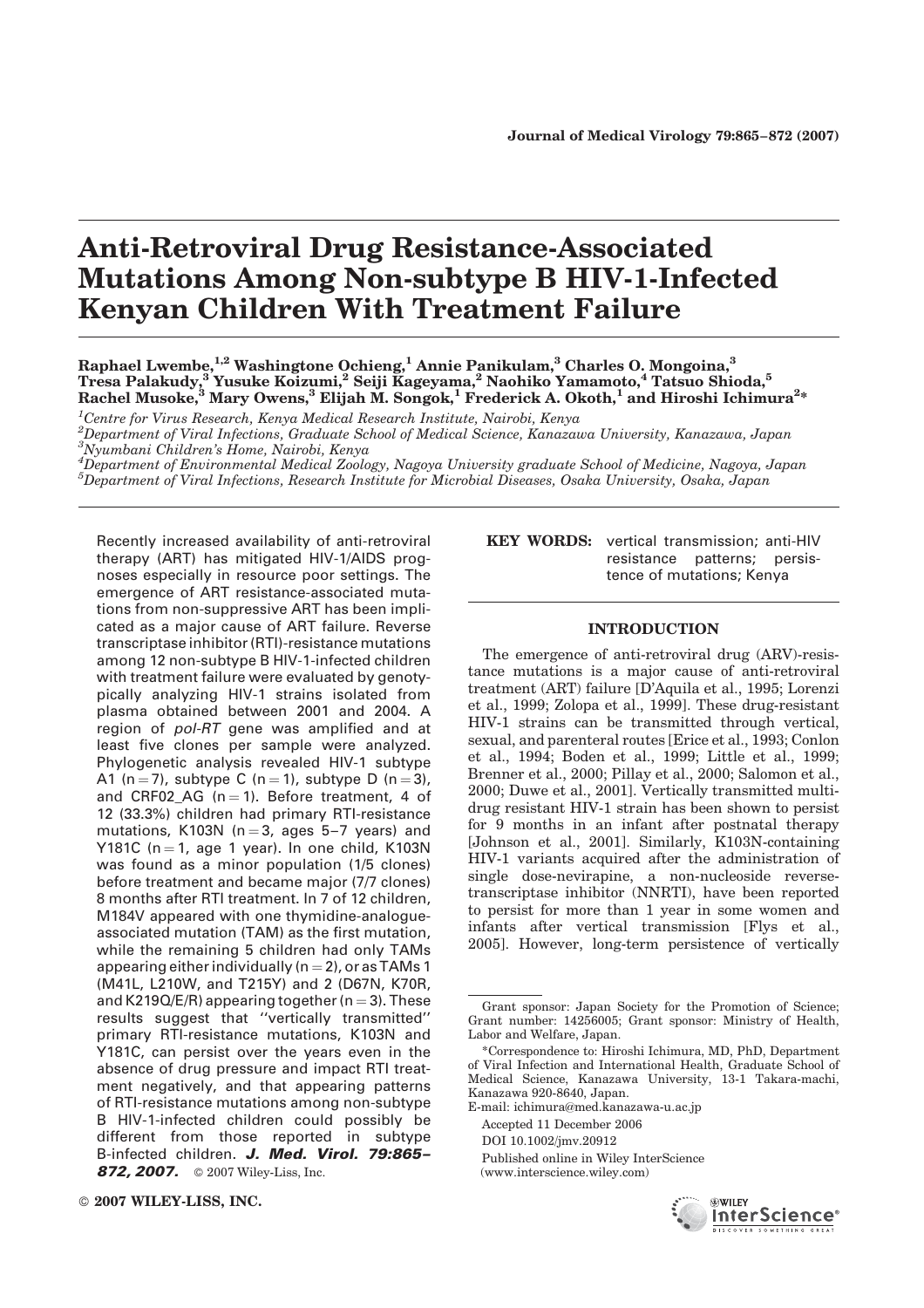# Anti-Retroviral Drug Resistance-Associated Mutations Among Non-subtype B HIV-1-Infected Kenyan Children With Treatment Failure

Raphael Lwembe,<sup>1,2</sup> Washingtone Ochieng,<sup>1</sup> Annie Panikulam,<sup>3</sup> Charles O. Mongoina,<sup>3</sup> Tresa Palakudy, $^3$ Yusuke Koizumi, $^2$  Seiji Kageyama, $^2$  Naohiko Yamamoto, $^4$  Tatsuo Shioda, $^5$ Rachel Musoke, $^3$  Mary Owens, $^3$  Elijah M. Songok, $^1$  Frederick A. Okoth, $^1$  and Hiroshi Ichimura $^{2*}$ 

<sup>1</sup>Centre for Virus Research, Kenva Medical Research Institute, Nairobi, Kenva  $^1$ Centre for Virus Research, Kenya Medical Research Institute, Nairobi, Kenya<br>2Department of Viral Infections, Graduate School of Medical Seienes, Kanaza <sup>2</sup>Department of Viral Infections, Graduate School of Medical Science, Kanazawa University, Kanazawa, Japan<br><sup>3</sup>Nuumbani Childran's Home, Nairobi, Kapya Nyumbani Children's Home, Nairobi, Kenya <sup>4</sup>

 ${}^4D$ epartment of Environmental Medical Zoology, Nagoya University graduate School of Medicine, Nagoya, Japan  $^{5}$ Department of Viral Infections, Research Institute for Microbial Diseases, Osaka University, Osaka, Japan

Recently increased availability of anti-retroviral therapy (ART) has mitigated HIV-1/AIDS prognoses especially in resource poor settings. The emergence of ART resistance-associated mutations from non-suppressive ART has been implicated as a major cause of ART failure. Reverse transcriptase inhibitor(RTI)-resistance mutations among 12 non-subtype B HIV-1-infected children with treatment failure were evaluated by genotypically analyzing HIV-1 strains isolated from plasma obtained between 2001 and 2004. A region of pol-RT gene was amplified and at least five clones per sample were analyzed. Phylogenetic analysis revealed HIV-1 subtype A1 (n = 7), subtype C (n = 1), subtype D (n = 3), and CRF02 AG ( $n = 1$ ). Before treatment, 4 of 12 (33.3%) children had primary RTI-resistance mutations, K103N ( $n = 3$ , ages 5–7 years) and Y181C ( $n = 1$ , age 1 year). In one child, K103N was found as a minor population (1/5 clones) before treatment and became major (7/7 clones) 8 months after RTI treatment. In 7 of 12 children, M184V appeared with one thymidine-analogueassociated mutation (TAM) as the first mutation, while the remaining 5 children had only TAMs appearing either individually ( $n = 2$ ), or as TAMs 1 (M41L, L210W, and T215Y) and 2 (D67N, K70R, and K219Q/E/R) appearing together ( $n = 3$ ). These results suggest that ''vertically transmitted'' primary RTI-resistance mutations, K103N and Y181C, can persist over the years even in the absence of drug pressure and impact RTI treatment negatively, and that appearing patterns of RTI-resistance mutations among non-subtype B HIV-1-infected children could possibly be different from those reported in subtype B-infected children. J. Med. Virol. 79:865-**872, 2007.** © 2007 Wiley-Liss, Inc.

KEY WORDS: vertical transmission; anti-HIV resistance patterns; persistence of mutations; Kenya

## INTRODUCTION

The emergence of anti-retroviral drug (ARV)-resistance mutations is a major cause of anti-retroviral treatment (ART) failure [D'Aquila et al., 1995; Lorenzi et al., 1999; Zolopa et al., 1999]. These drug-resistant HIV-1 strains can be transmitted through vertical, sexual, and parenteral routes [Erice et al., 1993; Conlon et al., 1994; Boden et al., 1999; Little et al., 1999; Brenner et al., 2000; Pillay et al., 2000; Salomon et al., 2000; Duwe et al., 2001]. Vertically transmitted multidrug resistant HIV-1 strain has been shown to persist for 9 months in an infant after postnatal therapy [Johnson et al., 2001]. Similarly, K103N-containing HIV-1 variants acquired after the administration of single dose-nevirapine, a non-nucleoside reversetranscriptase inhibitor (NNRTI), have been reported to persist for more than 1 year in some women and infants after vertical transmission [Flys et al., 2005]. However, long-term persistence of vertically

Accepted 11 December 2006

<sup>(</sup>www.interscience.wiley.com)



Grant sponsor: Japan Society for the Promotion of Science; Grant number: 14256005; Grant sponsor: Ministry of Health, Labor and Welfare, Japan.

<sup>\*</sup>Correspondence to: Hiroshi Ichimura, MD, PhD, Department of Viral Infection and International Health, Graduate School of Medical Science, Kanazawa University, 13-1 Takara-machi, Kanazawa 920-8640, Japan.

E-mail: ichimura@med.kanazawa-u.ac.jp

DOI 10.1002/jmv.20912

Published online in Wiley InterScience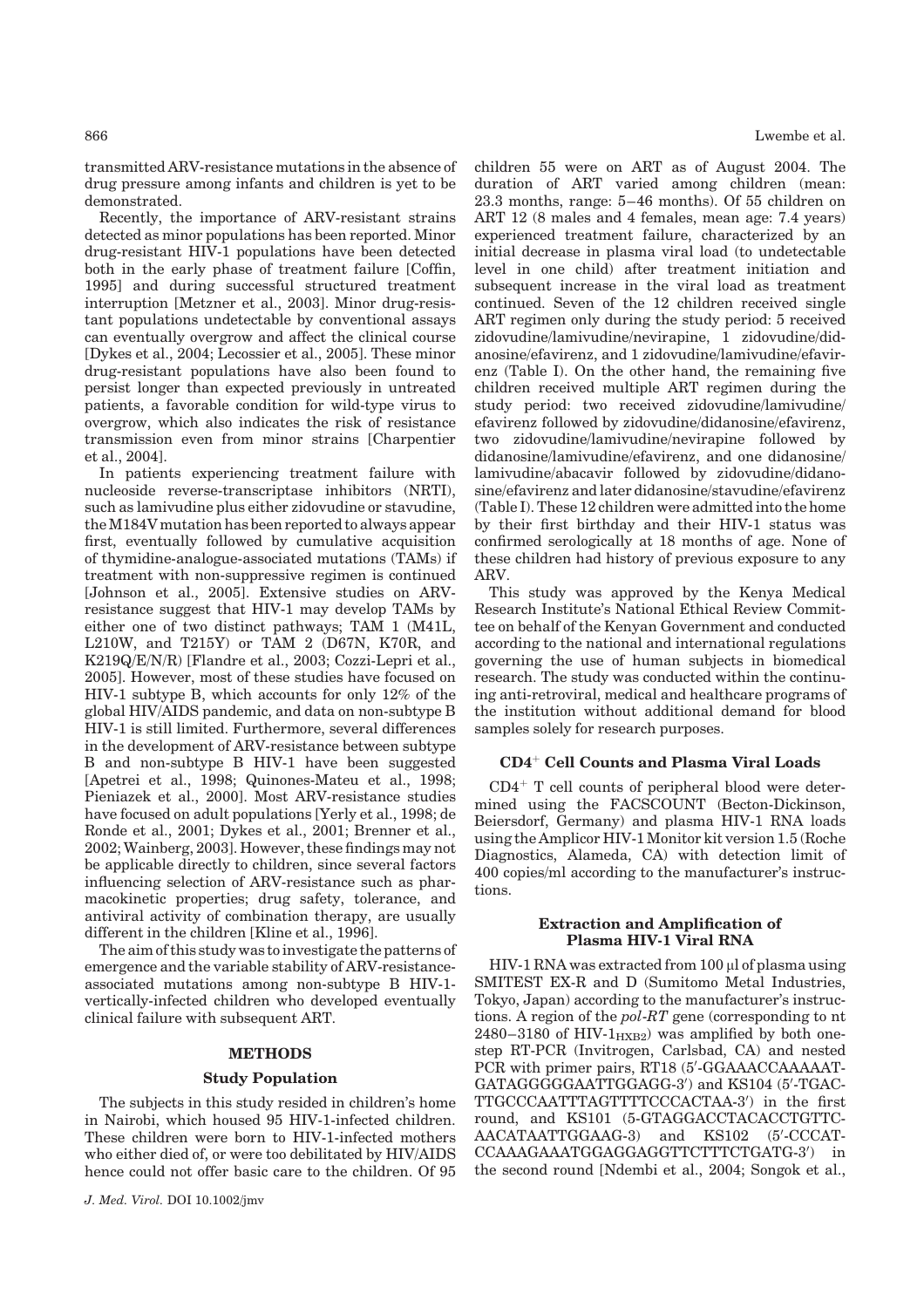866 Lwembe et al.

transmitted ARV-resistance mutations in the absence of drug pressure among infants and children is yet to be demonstrated.

Recently, the importance of ARV-resistant strains detected as minor populations has been reported. Minor drug-resistant HIV-1 populations have been detected both in the early phase of treatment failure [Coffin, 1995] and during successful structured treatment interruption [Metzner et al., 2003]. Minor drug-resistant populations undetectable by conventional assays can eventually overgrow and affect the clinical course [Dykes et al., 2004; Lecossier et al., 2005]. These minor drug-resistant populations have also been found to persist longer than expected previously in untreated patients, a favorable condition for wild-type virus to overgrow, which also indicates the risk of resistance transmission even from minor strains [Charpentier et al., 2004].

In patients experiencing treatment failure with nucleoside reverse-transcriptase inhibitors (NRTI), such as lamivudine plus either zidovudine or stavudine, theM184Vmutation has beenreported to always appear first, eventually followed by cumulative acquisition of thymidine-analogue-associated mutations (TAMs) if treatment with non-suppressive regimen is continued [Johnson et al., 2005]. Extensive studies on ARVresistance suggest that HIV-1 may develop TAMs by either one of two distinct pathways; TAM 1 (M41L, L210W, and T215Y) or TAM 2 (D67N, K70R, and K219Q/E/N/R) [Flandre et al., 2003; Cozzi-Lepri et al., 2005]. However, most of these studies have focused on HIV-1 subtype B, which accounts for only 12% of the global HIV/AIDS pandemic, and data on non-subtype B HIV-1 is still limited. Furthermore, several differences in the development of ARV-resistance between subtype B and non-subtype B HIV-1 have been suggested [Apetrei et al., 1998; Quinones-Mateu et al., 1998; Pieniazek et al., 2000]. Most ARV-resistance studies have focused on adult populations [Yerly et al., 1998; de Ronde et al., 2001; Dykes et al., 2001; Brenner et al., 2002; Wainberg, 2003]. However, these findings may not be applicable directly to children, since several factors influencing selection of ARV-resistance such as pharmacokinetic properties; drug safety, tolerance, and antiviral activity of combination therapy, are usually different in the children [Kline et al., 1996].

The aim ofthis studywas to investigate the patterns of emergence and the variable stability of ARV-resistanceassociated mutations among non-subtype B HIV-1 vertically-infected children who developed eventually clinical failure with subsequent ART.

#### METHODS

# Study Population

The subjects in this study resided in children's home in Nairobi, which housed 95 HIV-1-infected children. These children were born to HIV-1-infected mothers who either died of, or were too debilitated by HIV/AIDS hence could not offer basic care to the children. Of 95 children 55 were on ART as of August 2004. The duration of ART varied among children (mean: 23.3 months, range: 5–46 months). Of 55 children on ART 12 (8 males and 4 females, mean age: 7.4 years) experienced treatment failure, characterized by an initial decrease in plasma viral load (to undetectable level in one child) after treatment initiation and subsequent increase in the viral load as treatment continued. Seven of the 12 children received single ART regimen only during the study period: 5 received zidovudine/lamivudine/nevirapine, 1 zidovudine/didanosine/efavirenz, and 1 zidovudine/lamivudine/efavirenz (Table I). On the other hand, the remaining five children received multiple ART regimen during the study period: two received zidovudine/lamivudine/ efavirenz followed by zidovudine/didanosine/efavirenz, two zidovudine/lamivudine/nevirapine followed by didanosine/lamivudine/efavirenz, and one didanosine/ lamivudine/abacavir followed by zidovudine/didanosine/efavirenz and later didanosine/stavudine/efavirenz (Table I).These 12 children were admitted into the home by their first birthday and their HIV-1 status was confirmed serologically at 18 months of age. None of these children had history of previous exposure to any ARV.

This study was approved by the Kenya Medical Research Institute's National Ethical Review Committee on behalf of the Kenyan Government and conducted according to the national and international regulations governing the use of human subjects in biomedical research. The study was conducted within the continuing anti-retroviral, medical and healthcare programs of the institution without additional demand for blood samples solely for research purposes.

#### $CD4<sup>+</sup>$  Cell Counts and Plasma Viral Loads

 $CD4^+$  T cell counts of peripheral blood were determined using the FACSCOUNT (Becton-Dickinson, Beiersdorf, Germany) and plasma HIV-1 RNA loads using the Amplicor HIV-1 Monitor kit version 1.5 (Roche Diagnostics, Alameda, CA) with detection limit of 400 copies/ml according to the manufacturer's instructions.

## Extraction and Amplification of Plasma HIV-1 Viral RNA

 $HIV-1 RNA$  was extracted from 100  $\mu$ l of plasma using SMITEST EX-R and D (Sumitomo Metal Industries, Tokyo, Japan) according to the manufacturer's instructions. A region of the pol-RT gene (corresponding to nt 2480–3180 of HIV- $1_{HXB2}$ ) was amplified by both onestep RT-PCR (Invitrogen, Carlsbad, CA) and nested PCR with primer pairs, RT18 (5'-GGAAACCAAAAAT-GATAGGGGGAATTGGAGG-3') and KS104 (5'-TGAC-TTGCCCAATTTAGTTTTCCCACTAA-3') in the first round, and KS101 (5-GTAGGACCTACACCTGTTC-AACATAATTGGAAG-3) and KS102 (5'-CCCAT-CCAAAGAAATGGAGGAGGTTCTTTCTGATG-3') in the second round [Ndembi et al., 2004; Songok et al.,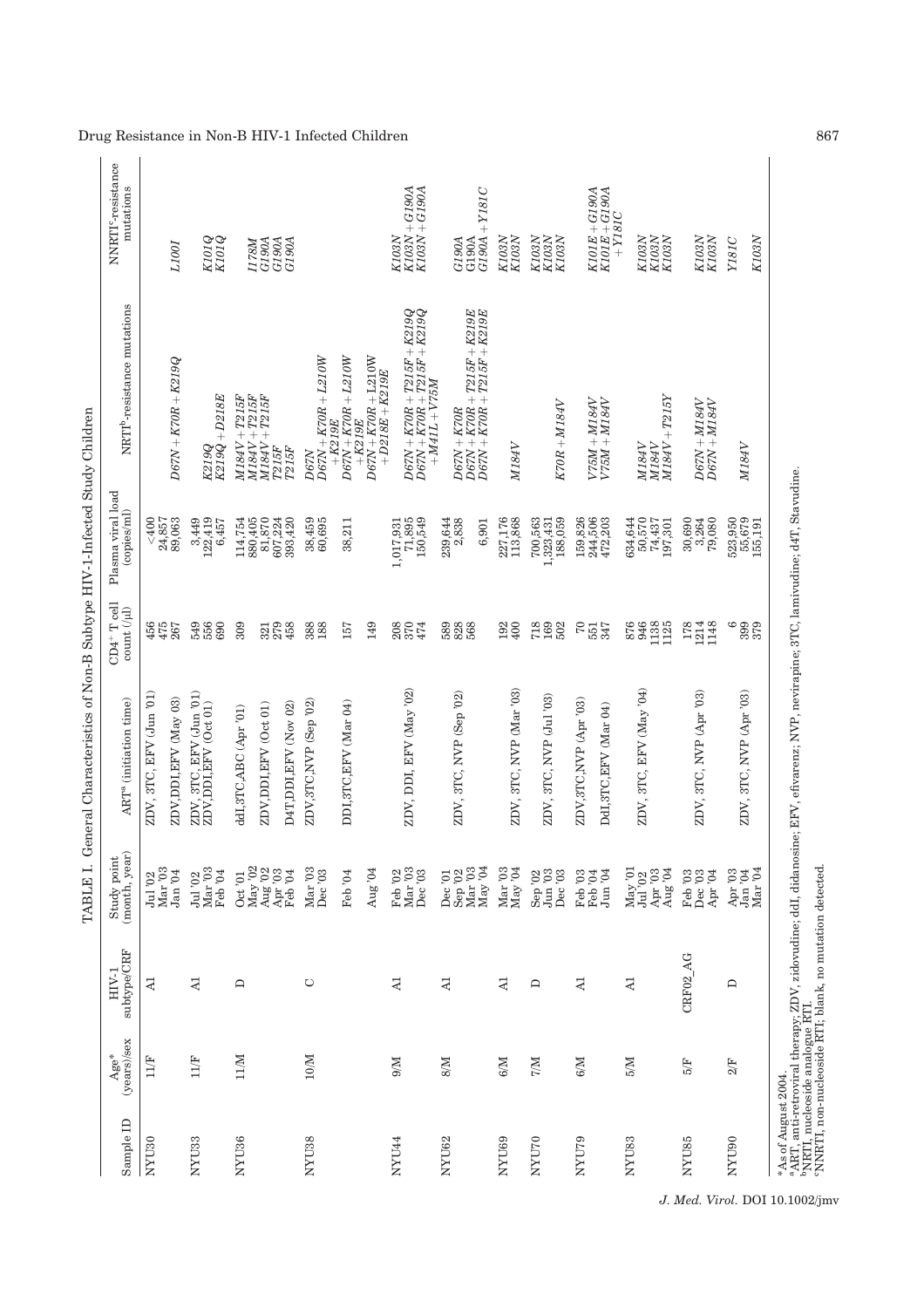|                     |                         |                                                          | TABLE I. G                                                                                                                   | eneral Characteristics of Non-B Subtype HIV-1-Infected Study Children                                                                                                 |                                                        |                                        |                                                                                                      |                                                                   |
|---------------------|-------------------------|----------------------------------------------------------|------------------------------------------------------------------------------------------------------------------------------|-----------------------------------------------------------------------------------------------------------------------------------------------------------------------|--------------------------------------------------------|----------------------------------------|------------------------------------------------------------------------------------------------------|-------------------------------------------------------------------|
| Sample ID           | (years)/sex<br>Age*     | $\text{subtype}/\text{CRF}$<br>$HIV-1$                   | (month, year)<br>Study point                                                                                                 | ART <sup>a</sup> (initiation time)                                                                                                                                    | $CD4+T$ cell<br>$\mathop{\rm count\,}\nolimits(\mu l)$ | Plasma viral load<br>(copies/ml)       | NRTI <sup>b</sup> -resistance mutations                                                              | NNRTI <sup>c</sup> -resistance<br>mutations                       |
| NYU30               | 11/F                    | Z,                                                       | Jul '02<br>Mar '03                                                                                                           | ZDV, 3TC, EFV (Jun '01)                                                                                                                                               | $456$<br>$475$<br>$267$                                | &00<br>24,857                          |                                                                                                      |                                                                   |
|                     |                         |                                                          | ${\rm Jan}~'04$                                                                                                              | ZDV, DDI, EFV (May 03)                                                                                                                                                |                                                        | 89,063                                 | $D67N + K70R + K219Q$                                                                                | <i>L100I</i>                                                      |
| NYU33               | 11/F                    | $\overline{A}$                                           | Mar '03<br>Feb'04<br>Jul '02                                                                                                 | $\rm ZDV,$ 3TC, $\rm EFV$ $\rm (Jun$ $\rm '01)$ $\rm ZDV,DDI, EFV$ $\rm (Oct$ $\rm 01)$                                                                               | 549<br>556<br>690                                      | 122,419<br>3,449<br>6,457              | K219Q<br>K219Q + D218E                                                                               | K101Q<br>K101Q                                                    |
| NYU <sub>36</sub>   | 11/M                    | $\Box$                                                   | $\rm Oct$ '01                                                                                                                | ddI,3TC,ABC (Apr '01)                                                                                                                                                 | 309                                                    | 114,754<br>880,405                     | $M184V+T215F$<br>$M184V + T215F$                                                                     |                                                                   |
|                     |                         |                                                          | $\begin{array}{c} \rm{May\;}^{\prime}02 \\ \rm{Aug\;}^{\prime}02 \\ \rm{Apr\;}^{\prime}03 \end{array}$                       | ZDV, DDI, EFV (Oct 01)                                                                                                                                                | 321<br>279                                             | 81,870                                 | $M184V + T215F$                                                                                      | <b>H78M</b><br>G190A                                              |
|                     |                         |                                                          | Feb '04                                                                                                                      | D4T, DDI, EFV (Nov 02)                                                                                                                                                | 458                                                    | $607,224$<br>393,420                   | <b>T215F</b><br>T215F                                                                                | G190A<br>G190A                                                    |
| NYU <sub>38</sub>   | $10/M$                  | $\circ$                                                  | Mar' 03<br>Dec '03                                                                                                           | ZDV,3TC,NVP (Sep '02)                                                                                                                                                 | 388<br>188                                             | 38,459<br>60,695                       | $D67N + K70R + L210W$<br><b>D67N</b>                                                                 |                                                                   |
|                     |                         |                                                          | Feb '04                                                                                                                      | DDI, 3TC, EFV (Mar 04)                                                                                                                                                | 157                                                    | 38,211                                 | $D67N + K70R + L210W$<br>$+K219E$                                                                    |                                                                   |
|                     |                         |                                                          | Aug $04$                                                                                                                     |                                                                                                                                                                       | 149                                                    |                                        | $\begin{array}{c} D67N+K70R+\textrm{L210W}\\+D218E+K219E \end{array}$<br>$+K219E$                    |                                                                   |
| NYU44               | N/6                     | $\overline{A}$                                           | Feb '02<br>Mar '03<br>Dec '03                                                                                                | ZDV, DDI, EFV (May '02)                                                                                                                                               | 2002<br>2574                                           | 71,895<br>150,549<br>1,017,931         | $\begin{array}{l} D67N+K70R+T215F+K219Q \\ D67N+K70R+T215F+K219Q \end{array}$<br>$+M41L+V75M \notag$ | $\begin{array}{l} K103N+G190A\\ K103N+G190A \end{array}$<br>K103N |
| NYU62               | $M_8$                   | $\overline{A}$                                           | $\begin{array}{c} \rm{Dec}~^{701} \\ \rm{Sep}~^{702} \\ \rm{Mar}~^{703} \\ \rm{Mar}~^{703} \\ \rm{May}~^{704} \end{array}$   | ZDV, 3TC, NVP (Sep '02)                                                                                                                                               | 5828<br>5826                                           | 239,644<br>2,838<br>6,901              | $\frac{D67N+K70R+T215F+K219E}{D67N+K70R+T215F+K219E}$<br>$D67N + K70R$                               | $+ Y181C$<br>G190A<br>G190A<br>G190A                              |
| NYU69               | $M_{\odot}$             | $\overline{A}$                                           | Mar'03<br>$\rm{May}$ $\rm{^{\prime}04}$                                                                                      | ZDV, 3TC, NVP (Mar '03)                                                                                                                                               | 192<br>400                                             | 227,176<br>113,868                     | M184V                                                                                                | $\begin{array}{c} K103N \\ K103N \end{array}$                     |
| NYU70               | $\mathbb{M}/\mathbb{Z}$ | $\Box$                                                   | $\rm{Jun}$ $^{7}$ 03<br>Sep $'02$<br>Dec '03                                                                                 | ZDV, 3TC, NVP (Jul '03)                                                                                                                                               | 718<br>169<br>502                                      | 700,563<br>188,059<br>1,323,431        | $K70R + M184V$                                                                                       | K103N<br>K103N<br>$K103N$                                         |
| NYU79               | 6/M                     | $\overline{A}$                                           | $\rm{Jun}$ '04<br>Feb '03<br>Feb '04                                                                                         | ZDV, 3TC, NVP (Apr '03)<br>DdI, 3TC, EFV (Mar 04)                                                                                                                     | $\sqrt{2}$<br>551<br>347                               | 244,506<br>159,826<br>472,203          | $V75M + M184V$<br>$V75M + M184V$                                                                     | $K101E + G190A$<br>$K101E+G190A$<br>$+ Y181C$                     |
| NYU83               | M <sub>5</sub>          | $\mathsf{N}$                                             | ${\rm May\: 91\atop \overline{J} {\rm ul}~ 92}$<br>Apr $^{\prime}03$ Aug $^{\prime}04$                                       | ZDV, 3TC, EFV (May '04)                                                                                                                                               | 946<br>1138<br>1125<br>876                             | 634,644<br>50,570<br>74,437<br>197,301 | $M184V + T215Y$<br>M184V<br>$M184V$                                                                  | $\begin{array}{c} K103N \\ K103N \end{array}$<br>$K103N$          |
| NYU85               | 5/F                     | CRF02 AG                                                 | Feb '03<br>Dec '03<br>Apr $94$                                                                                               | ZDV, 3TC, NVP (Apr '03)                                                                                                                                               | 1214<br>1148<br>178                                    | 3,264<br>30,690<br>79,080              | $D67N + M184V$<br>$D67N + M184V$                                                                     | K103N<br>$K103N$                                                  |
| NYU90               | $2/F$                   | ≏                                                        | $\begin{array}{c} \textrm{Apr}\textnormal{ '03}\\ \textrm{Jan}\textnormal{ '04}\\ \textrm{Mar}\textnormal{ '04} \end{array}$ | ZDV, 3TC, NVP (Apr '03)                                                                                                                                               | ၉၂၉<br>၁၉၉<br>၁၉၉                                      | 523,950<br>$55,679$<br>155,191         | M184V                                                                                                | K103N<br>Y181C                                                    |
| *As of August 2004. |                         | "NNRTI, non-nucleoside RTI; blank, no mutation detected. |                                                                                                                              | °ART, anti-retroviral therapy; ZDV, zidovudine; ddI, didanosine; EFV, efivarenz; NVP, nevirapine; 3TC, lamivudine; d4T, Stavudine.<br>"NRTI, nucleoside analogue RTI. |                                                        |                                        |                                                                                                      |                                                                   |

Drug Resistance in Non-B HIV-1 Infected Children 867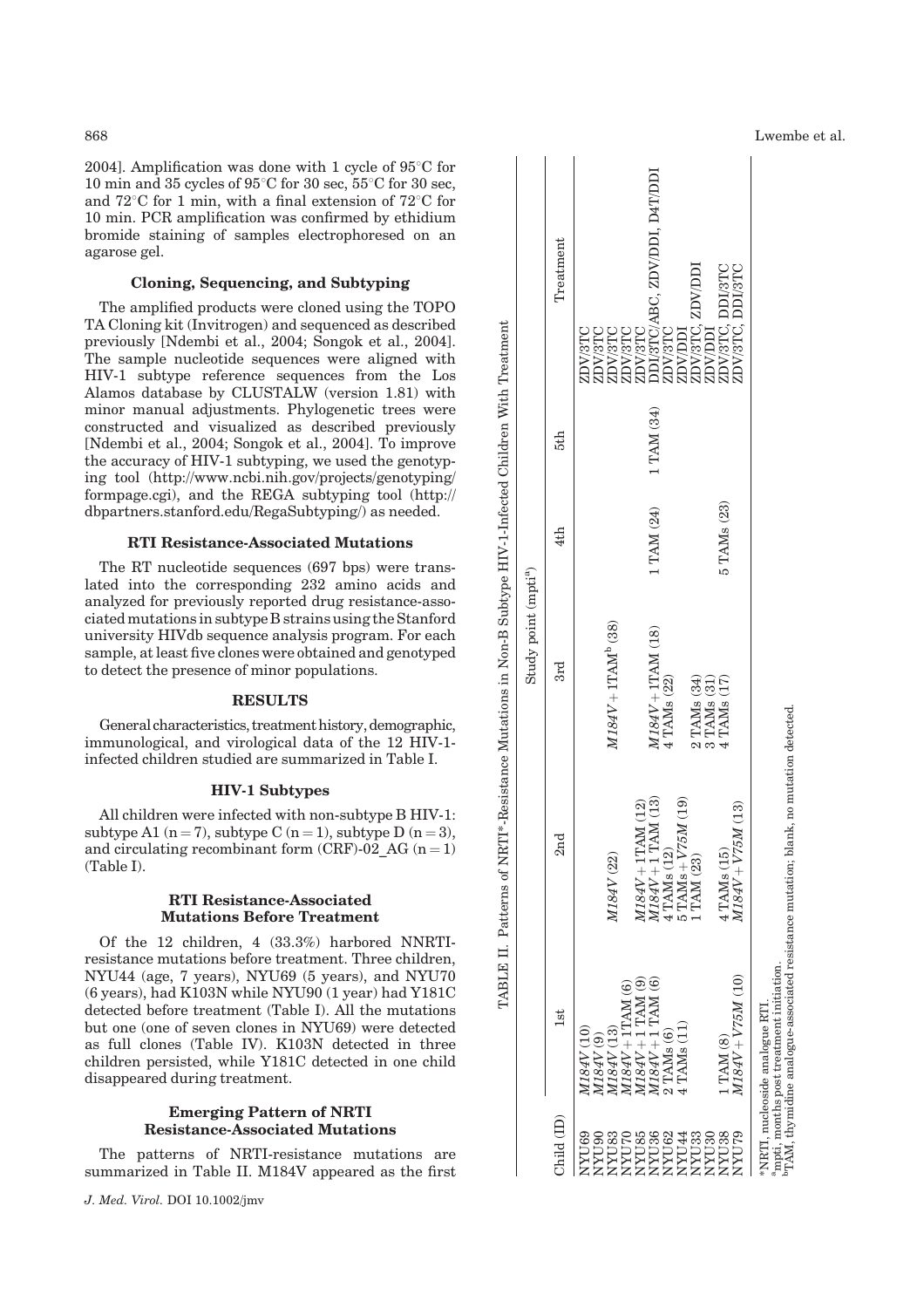2004]. Amplification was done with 1 cycle of  $95^{\circ}$ C for 10 min and 35 cycles of  $95^{\circ}$ C for 30 sec,  $55^{\circ}$ C for 30 sec, and  $72^{\circ}$ C for 1 min, with a final extension of  $72^{\circ}$ C for 10 min. PCR amplification was confirmed by ethidium bromide staining of samples electrophoresed on an agarose gel.

# Cloning, Sequencing, and Subtyping

The amplified products were cloned using the TOPO TA Cloning kit (Invitrogen) and sequenced as described previously [Ndembi et al., 2004; Songok et al., 2004]. The sample nucleotide sequences were aligned with HIV-1 subtype reference sequences from the Los Alamos database by CLUSTALW (version 1.81) with minor manual adjustments. Phylogenetic trees were constructed and visualized as described previously [Ndembi et al., 2004; Songok et al., 2004]. To improve the accuracy of HIV-1 subtyping, we used the genotyping tool (http://www.ncbi.nih.gov/projects/genotyping/ formpage.cgi), and the REGA subtyping tool (http:// dbpartners.stanford.edu/RegaSubtyping/) as needed.

#### RTI Resistance-Associated Mutations

The RT nucleotide sequences (697 bps) were translated into the corresponding 232 amino acids and analyzed for previously reported drug resistance-associated mutations insubtype B strainsusing theStanford university HIVdb sequence analysis program. For each sample, atleast five clones were obtained and genotyped to detect the presence of minor populations.

#### RESULTS

General characteristics, treatment history, demographic, immunological, and virological data of the 12 HIV-1 infected children studied are summarized in Table I.

# HIV-1 Subtypes

All children were infected with non-subtype B HIV-1: subtype A1 (n = 7), subtype C (n = 1), subtype D (n = 3), and circulating recombinant form (CRF)-02 AG  $(n = 1)$ (Table I).

# RTI Resistance-Associated Mutations Before Treatment

Of the 12 children, 4 (33.3%) harbored NNRTIresistance mutations before treatment. Three children, NYU44 (age, 7 years), NYU69 (5 years), and NYU70 (6 years), had K103N while NYU90 (1 year) had Y181C detected before treatment (Table I). All the mutations but one (one of seven clones in NYU69) were detected as full clones (Table IV). K103N detected in three children persisted, while Y181C detected in one child disappeared during treatment.

# Emerging Pattern of NRTI Resistance-Associated Mutations

The patterns of NRTI-resistance mutations are summarized in Table II. M184V appeared as the first

|                                                          |                                                                                                                                                                                                                    |                                                                                                                                 | Study point (mpti <sup>a</sup> )          |             |            |                                                                                                                                                                                                                                                                                                                                                                                                                                                                                                                             |
|----------------------------------------------------------|--------------------------------------------------------------------------------------------------------------------------------------------------------------------------------------------------------------------|---------------------------------------------------------------------------------------------------------------------------------|-------------------------------------------|-------------|------------|-----------------------------------------------------------------------------------------------------------------------------------------------------------------------------------------------------------------------------------------------------------------------------------------------------------------------------------------------------------------------------------------------------------------------------------------------------------------------------------------------------------------------------|
| Child (ID)                                               | 1st                                                                                                                                                                                                                | 2nd                                                                                                                             | 3rd                                       | 4th         | 5th        | Treatment                                                                                                                                                                                                                                                                                                                                                                                                                                                                                                                   |
| <b>RALIAN</b><br>VYU83<br><b>AYU85</b><br>OGUXV<br>NYU70 | $\begin{array}{c} M184V + 1\mathrm{TAM}\ (6) \\ M184V + 1\ \mathrm{TAM}\ (9) \\ M184V + 1\ \mathrm{TAM}\ (9) \\ M184V + 1\ \mathrm{TAM}\ (6) \end{array}$<br>$M184V\left( 13\right)$<br>M184V(10)<br>$M184V$ $(9)$ | $M184V + 1TAM$ (12)<br>M184V (22)                                                                                               | $M184V + 1TAMb$ (38)                      |             |            | $\begin{tabular}{l} \hline \multicolumn{1}{l}{\begin{subarray}{l} \hline \multicolumn{1}{l}{\begin{subarray}{l} \hline \multicolumn{1}{l}{\begin{subarray}{l} \hline \multicolumn{1}{l}{\begin{subarray}{l} \hline \multicolumn{1}{l}{\begin{subarray}{l} \hline \multicolumn{1}{l}{\begin{subarray}{l} \hline \multicolumn{1}{l}{\begin{subarray}{l} \hline \multicolumn{1}{l}{\end{subarray}} \\ \hline \multicolumn{1}{l}{\begin{subarray}{l} \hline \multicolumn{1}{l}{\begin{subarray}{l} \hline \multicolumn{1}{l}{\$ |
| <b>YYU33</b><br>VYU36<br><b>PLIAN</b><br><b>AYU62</b>    | $2$ TAMs $(6)$ $4$ TAMs $(11)$                                                                                                                                                                                     | $M184V + 1$ TAM (13)<br>$4 \text{ TAMS} (12) \over 5 \text{ TAMS} + \text{V75M} (19) \over 1 \text{ TAM} (23)$                  | $M184V + 1TAM (18)$<br>4 TAMs (22)        | 1 TAM (24)  | 1 TAM (34) |                                                                                                                                                                                                                                                                                                                                                                                                                                                                                                                             |
| NYU38<br><b>GLIAN</b><br>VYU30                           | $M184V+V75M$ (10)<br>1 TAM (8)                                                                                                                                                                                     | $M184V + V75M(13)$<br>4 TAMs (15)                                                                                               | 2 TAMs (34)<br>3 TAMs (31)<br>4 TAMs (17) | 5 TAMs (23) |            |                                                                                                                                                                                                                                                                                                                                                                                                                                                                                                                             |
|                                                          | NRTI, nucleoside analogue RTI                                                                                                                                                                                      | mpti, months post treatment initiation.<br>TAM, thymidine analogue-associated resistance mutation; blank, no mutation detected. |                                           |             |            |                                                                                                                                                                                                                                                                                                                                                                                                                                                                                                                             |

TABLE II. Patterns of NRTI\*-Resistance Mutations in Non-B Subtype HIV-1-Infected Children With Treatment

TABLE II. Patterns of NRTI\*-Resistance Mutations in Non-B Subtype HIV-1-Infected Children With Treatment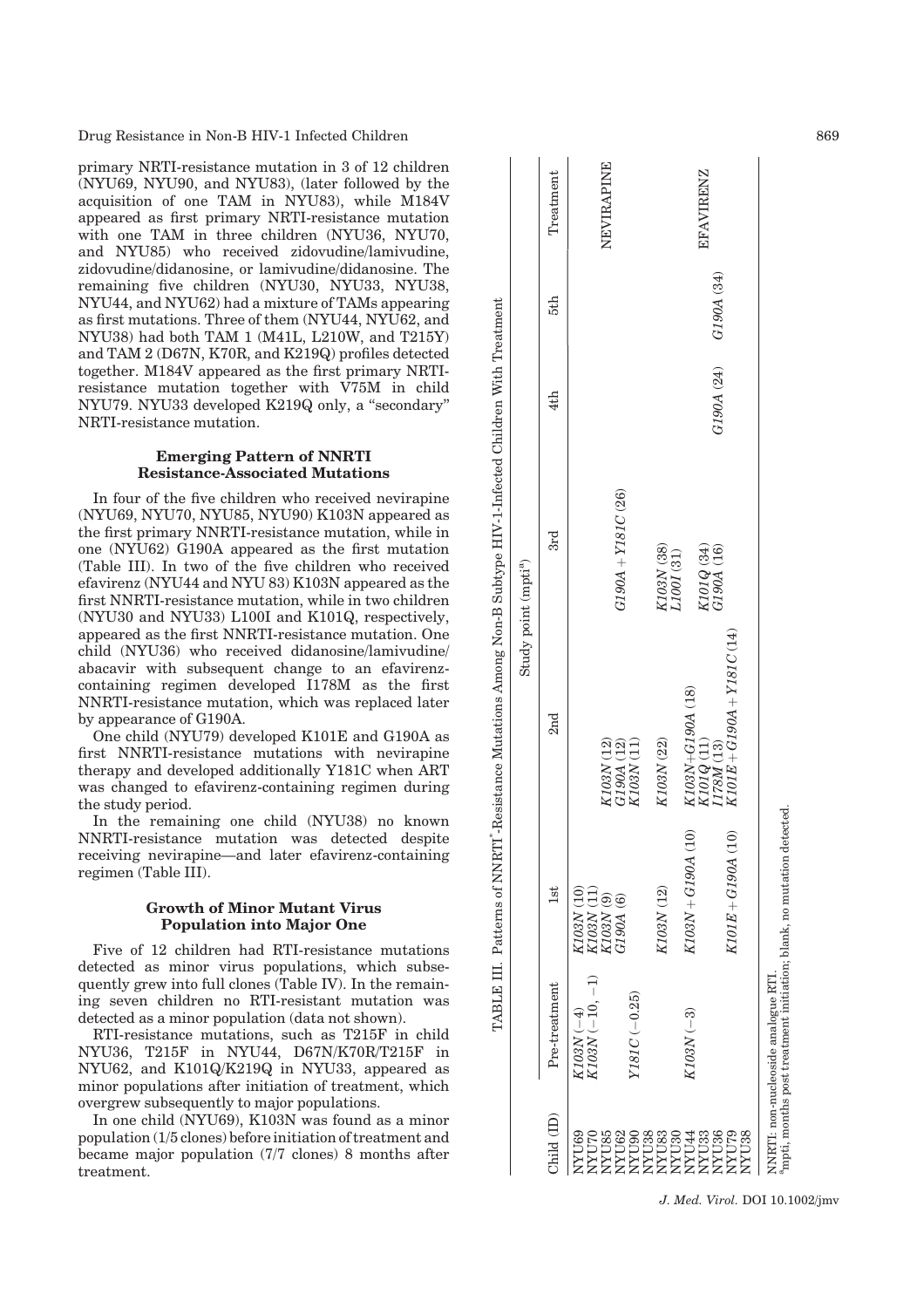Drug Resistance in Non-B HIV-1 Infected Children 869

primary NRTI-resistance mutation in 3 of 12 children (NYU69, NYU90, and NYU83), (later followed by the acquisition of one TAM in NYU83), while M184V appeared as first primary NRTI-resistance mutation with one TAM in three children (NYU36, NYU70, and NYU85) who received zidovudine/lamivudine, zidovudine/didanosine, or lamivudine/didanosine. The remaining five children (NYU30, NYU33, NYU38, NYU44, and NYU62) had a mixture of TAMs appearing as first mutations. Three of them (NYU44, NYU62, and NYU38) had both TAM 1 (M41L, L210W, and T215Y) and TAM 2 (D67N, K70R, and K219Q) profiles detected together. M184V appeared as the first primary NRTIresistance mutation together with V75M in child NYU79. NYU33 developed K219Q only, a ''secondary'' NRTI-resistance mutation.

## Emerging Pattern of NNRTI Resistance-Associated Mutations

In four of the five children who received nevirapine (NYU69, NYU70, NYU85, NYU90) K103N appeared as the first primary NNRTI-resistance mutation, while in one (NYU62) G190A appeared as the first mutation (Table III). In two of the five children who received efavirenz (NYU44 and NYU 83) K103N appeared as the first NNRTI-resistance mutation, while in two children (NYU30 and NYU33) L100I and K101Q, respectively, appeared as the first NNRTI-resistance mutation. One child (NYU36) who received didanosine/lamivudine/ abacavir with subsequent change to an efavirenzcontaining regimen developed I178M as the first NNRTI-resistance mutation, which was replaced later by appearance of G190A.

One child (NYU79) developed K101E and G190A as first NNRTI-resistance mutations with nevirapine therapy and developed additionally Y181C when ART was changed to efavirenz-containing regimen during the study period.

In the remaining one child (NYU38) no known NNRTI-resistance mutation was detected despite receiving nevirapine—and later efavirenz-containing regimen (Table III).

# Growth of Minor Mutant Virus Population into Major One

Five of 12 children had RTI-resistance mutations detected as minor virus populations, which subsequently grew into full clones (Table IV). In the remaining seven children no RTI-resistant mutation was detected as a minor population (data not shown).

RTI-resistance mutations, such as T215F in child NYU36, T215F in NYU44, D67N/K70R/T215F in NYU62, and K101Q/K219Q in NYU33, appeared as minor populations after initiation of treatment, which overgrew subsequently to major populations.

In one child (NYU69), K103N was found as a minor population (1/5 clones) before initiation of treatment and became major population (7/7 clones) 8 months after treatment.

| K103N+G190A (18)<br>2 <sub>nd</sub><br>K101Q (11)<br>I178M (13)<br>K103N (22)<br>K103N (12)<br>G190A (12)<br>$K103N\left( 11\right)$<br>$K103N + G190A$ (10)<br>K103N (12)<br>K103N(10)<br>$\begin{array}{l} K103N \ (11) \\ K103N \ (9) \\ G190A \ (6) \end{array}$<br>İst<br>$K103N$ $\left(-10,-1\right)$<br>Pre-treatment<br>$Y181C$ (-0.25)<br>$K103N$ $(-4)$<br>$K103N$ (-3)<br>Child (ID)<br>NYU36<br>NYU69<br>NYU62<br>NYU38<br>NYU83<br>NYU79<br>NYU85<br>NYU90<br>NYU30<br>NYU33<br>NYU70<br><b>PLIAN</b> |                                                     | Study point (mpti <sup>a</sup> )                       |            |            |                  |
|---------------------------------------------------------------------------------------------------------------------------------------------------------------------------------------------------------------------------------------------------------------------------------------------------------------------------------------------------------------------------------------------------------------------------------------------------------------------------------------------------------------------|-----------------------------------------------------|--------------------------------------------------------|------------|------------|------------------|
|                                                                                                                                                                                                                                                                                                                                                                                                                                                                                                                     |                                                     | 3rd                                                    | 4th        | 5th        | Treatment        |
|                                                                                                                                                                                                                                                                                                                                                                                                                                                                                                                     |                                                     | $G190A + Y181C(26)$                                    |            |            | NEVIRAPINE       |
|                                                                                                                                                                                                                                                                                                                                                                                                                                                                                                                     |                                                     | $\begin{array}{c} K103N~(38)\\ L100I~(31) \end{array}$ |            |            |                  |
|                                                                                                                                                                                                                                                                                                                                                                                                                                                                                                                     |                                                     | K101Q (34)<br>G190A (16)                               | G190A (24) | G190A (34) | <b>EFAVIRENZ</b> |
| NYU38                                                                                                                                                                                                                                                                                                                                                                                                                                                                                                               | $K101E + G190A + Y181C(14)$<br>$K101E + G190A$ (10) |                                                        |            |            |                  |

TABLE III. Patterns of NNRTI\*-Resistance Mutations Among Non-B Subtype HIV-1-Infected Children With Treatment TABLE III. Patterns of NNRTI<sup>+</sup>-Resistance Mutations Among Non-B Subtype HIV-1-Infected Children With Treatment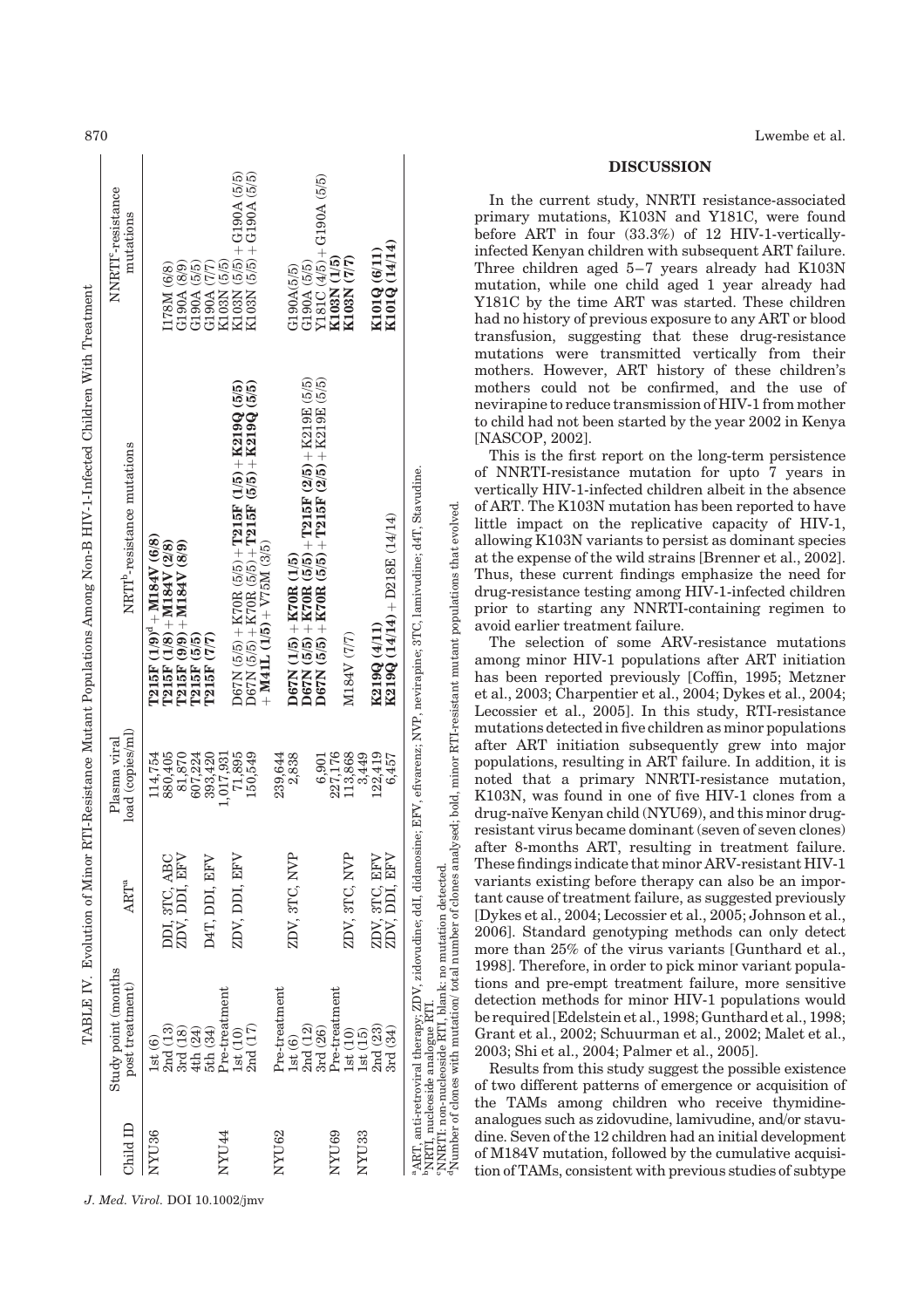| 870                                                                                                                   |                                             |                                                                                                                                                                                                                                                                                                                                                                                                                                   |                                                                                                                                                                                                                                                                                                                   | Lwembe et al.                                                                                                                                                                                                                                                                                                                                                                                                                                                                                                                                                                                                                                                                                                                                                                                                                                                                                                                                                                                                                                                                                                                                                                                                                                                                                                                                                                                                                                                   |
|-----------------------------------------------------------------------------------------------------------------------|---------------------------------------------|-----------------------------------------------------------------------------------------------------------------------------------------------------------------------------------------------------------------------------------------------------------------------------------------------------------------------------------------------------------------------------------------------------------------------------------|-------------------------------------------------------------------------------------------------------------------------------------------------------------------------------------------------------------------------------------------------------------------------------------------------------------------|-----------------------------------------------------------------------------------------------------------------------------------------------------------------------------------------------------------------------------------------------------------------------------------------------------------------------------------------------------------------------------------------------------------------------------------------------------------------------------------------------------------------------------------------------------------------------------------------------------------------------------------------------------------------------------------------------------------------------------------------------------------------------------------------------------------------------------------------------------------------------------------------------------------------------------------------------------------------------------------------------------------------------------------------------------------------------------------------------------------------------------------------------------------------------------------------------------------------------------------------------------------------------------------------------------------------------------------------------------------------------------------------------------------------------------------------------------------------|
|                                                                                                                       |                                             | <u>າວ າວ</u>                                                                                                                                                                                                                                                                                                                                                                                                                      |                                                                                                                                                                                                                                                                                                                   | <b>DISCUSSION</b>                                                                                                                                                                                                                                                                                                                                                                                                                                                                                                                                                                                                                                                                                                                                                                                                                                                                                                                                                                                                                                                                                                                                                                                                                                                                                                                                                                                                                                               |
| -Resistance Mutant Populations Among Non-B HIV-1-Infected Children With Treatment<br>TABLE IV. Evolution of Minor RTI | NNRTI <sup>c</sup> -resistance<br>mutations | io io<br>G190A<br>G190A<br>I178M                                                                                                                                                                                                                                                                                                                                                                                                  | G190A (5/5)<br>$\frac{(6/11)}{(14/14)}$<br>$^{+}$<br>ত্<br>(L/L)<br>G190A(5/5)<br>G190A (5/5)<br>Y181C (4/5)<br>K103N (<br>K103N (<br><b>K101Q</b><br>K101Q                                                                                                                                                       | In the current study, NNRTI resistance-associated<br>primary mutations, K103N and Y181C, were found<br>before ART in four (33.3%) of 12 HIV-1-vertically-<br>infected Kenyan children with subsequent ART failure.<br>Three children aged 5-7 years already had K103N<br>mutation, while one child aged 1 year already had<br>Y181C by the time ART was started. These children<br>had no history of previous exposure to any ART or blood<br>transfusion, suggesting that these drug-resistance<br>mutations were transmitted vertically from their                                                                                                                                                                                                                                                                                                                                                                                                                                                                                                                                                                                                                                                                                                                                                                                                                                                                                                            |
|                                                                                                                       | NRTI <sup>b</sup> -resistance mutations     | (5/5)<br>(5/5)<br>$+ K2190$<br>$+ K2190$<br>$\begin{array}{c} (1/5) \\ (5/5) \end{array}$<br>$+ 1215F$<br>$+ 1215F$<br>∞ٍ<br>$+$ M41L (1/5) $+$ V75M (3/5)<br>$\frac{28}{89}$<br>$\begin{array}{c} (5/5)+{\rm K70R} \ (5/5)\\ (5/5)+{\rm K70R} \ (5/5) \end{array}$<br><b>M184V</b><br><b>M184V</b><br>M184V<br>$(1/8)$<br>$(9/1)$<br>ම<br>$\frac{(5/5)}{(7/7)}$<br><b>T215F</b><br><b>T215F</b><br><b>T215F</b><br>T215F<br>D67N | நி<br>ত ত<br>$+ \frac{\text{K219E}}{\text{K219E}}$<br>$\frac{(2)}{5}$<br><b>T215F</b><br><b>T215F</b><br>$(14/14) + D218E(14/14)$<br>$\frac{\text{K70R (1/5)}}{\text{K70R (5/5)}}$<br>K70R (5/5) -<br>K70R (5/5) -<br>(4/11)<br>M184V (7/7)<br>$(15)$<br>$(55)$<br>$(55)$<br><b>K219Q</b><br>D67N<br>N67N<br>D67N | mothers. However, ART history of these children's<br>mothers could not be confirmed, and the use of<br>nevirapine to reduce transmission of HIV-1 from mother<br>to child had not been started by the year 2002 in Kenya<br>[NASCOP, 2002].<br>This is the first report on the long-term persistence<br>of NNRTI-resistance mutation for upto 7 years in<br>EFV, efivarenz; NVP, nevirapine; 3TC, lamivudine; d4T, Stavudine.<br>vertically HIV-1-infected children albeit in the absence<br>of ART. The K103N mutation has been reported to have<br>"NRIT, nucleoside analogue RTI.<br>"NNRIT: non-nucleoside RTI, blank: no mutation detected.<br>"Number of dones with mutation/ total number of clones analysed; bold, minor RTI-resistant mutant populations that evolved.<br>little impact on the replicative capacity of HIV-1,<br>allowing K103N variants to persist as dominant species<br>at the expense of the wild strains [Brenner et al., 2002].<br>Thus, these current findings emphasize the need for<br>drug-resistance testing among HIV-1-infected children<br>prior to starting any NNRTI-containing regimen to<br>avoid earlier treatment failure.<br>The selection of some ARV-resistance mutations<br>among minor HIV-1 populations after ART initiation<br>has been reported previously [Coffin, 1995; Metzner<br>et al., 2003; Charpentier et al., 2004; Dykes et al., 2004;<br>Lecossier et al., 2005]. In this study, RTI-resistance |
|                                                                                                                       | load (copies/ml)<br>asma viral<br>Α         | $\begin{array}{c} 114,754 \\ 880,405 \\ 81,870 \\ 607,224 \\ 393,420 \\ 1,017,931 \\ 1,017,931 \\ \end{array}$<br>150,549<br>71,895                                                                                                                                                                                                                                                                                               | $\begin{array}{c} 6,901\\227,176\\113,868\\113,449\\122,419\\122,457 \end{array}$<br>$239,644$<br>$2,838$                                                                                                                                                                                                         | mutations detected in five children as minor populations<br>after ART initiation subsequently grew into major<br>populations, resulting in ART failure. In addition, it is<br>noted that a primary NNRTI-resistance mutation,<br>K103N, was found in one of five HIV-1 clones from a<br>drug-naïve Kenyan child (NYU69), and this minor drug-<br>resistant virus became dominant (seven of seven clones)                                                                                                                                                                                                                                                                                                                                                                                                                                                                                                                                                                                                                                                                                                                                                                                                                                                                                                                                                                                                                                                        |
|                                                                                                                       | ART <sup>a</sup>                            | ZDV, DDI, EFV<br>ZDV, DDI, EFV<br>D4T, DDI, EFV<br>ABC<br>3TC.<br>DDI.                                                                                                                                                                                                                                                                                                                                                            | ZDV, 3TC, NVP<br>ZDV, 3TC, NVP<br>$\begin{array}{l} \underline{\rm EF} \overline{\rm V} \\ \underline{\rm EF} \overline{\rm V} \end{array}$<br>3TC,<br>DDI,<br>ZDV,                                                                                                                                               | after 8-months ART, resulting in treatment failure.<br>These findings indicate that minor ARV-resistant HIV-1<br>variants existing before therapy can also be an impor-<br>tant cause of treatment failure, as suggested previously<br>[Dykes et al., 2004; Lecossier et al., 2005; Johnson et al.,<br>2006]. Standard genotyping methods can only detect<br>more than 25% of the virus variants [Gunthard et al.,                                                                                                                                                                                                                                                                                                                                                                                                                                                                                                                                                                                                                                                                                                                                                                                                                                                                                                                                                                                                                                              |
|                                                                                                                       | Study point (months<br>post treatment)      | Pre-treatment<br>$1st(10)$ $2nd(17)$<br>$\begin{array}{c} \text{1st}\ (6) \\ \text{2nd}\ (13) \\ \text{3rd}\ (18) \end{array}$<br>4th (24)<br>5th (34)                                                                                                                                                                                                                                                                            | Pre-treatment<br>$3rd~(26)$ Pre-treatment<br>2nd(12)<br>$\begin{array}{c} \text{1st (10)} \\ \text{1st (15)} \\ \text{2nd (23)} \\ \text{3rd (34)} \end{array}$<br>$1st(6)$                                                                                                                                       | anti-retroviral therapy; ZDV, zidovudine; ddI, didanosine;<br>1998]. Therefore, in order to pick minor variant popula-<br>tions and pre-empt treatment failure, more sensitive<br>detection methods for minor HIV-1 populations would<br>be required [Edelstein et al., 1998; Gunthard et al., 1998;<br>Grant et al., 2002; Schuurman et al., 2002; Malet et al.,<br>2003; Shi et al., 2004; Palmer et al., 2005].<br>Results from this study suggest the possible existence<br>of two different patterns of emergence or acquisition of                                                                                                                                                                                                                                                                                                                                                                                                                                                                                                                                                                                                                                                                                                                                                                                                                                                                                                                        |
|                                                                                                                       | Child ID                                    | NYU <sub>36</sub><br>NYU44<br>J. Med. Virol. DOI 10.1002/jmv                                                                                                                                                                                                                                                                                                                                                                      | NYU62<br>NYU <sub>33</sub><br>RYU69                                                                                                                                                                                                                                                                               | the TAMs among children who receive thymidine-<br>analogues such as zidovudine, lamivudine, and/or stavu-<br>dine. Seven of the 12 children had an initial development<br><sup>a</sup> ART,<br>of M184V mutation, followed by the cumulative acquisi-<br>tion of TAMs, consistent with previous studies of subtype                                                                                                                                                                                                                                                                                                                                                                                                                                                                                                                                                                                                                                                                                                                                                                                                                                                                                                                                                                                                                                                                                                                                              |
|                                                                                                                       |                                             |                                                                                                                                                                                                                                                                                                                                                                                                                                   |                                                                                                                                                                                                                                                                                                                   |                                                                                                                                                                                                                                                                                                                                                                                                                                                                                                                                                                                                                                                                                                                                                                                                                                                                                                                                                                                                                                                                                                                                                                                                                                                                                                                                                                                                                                                                 |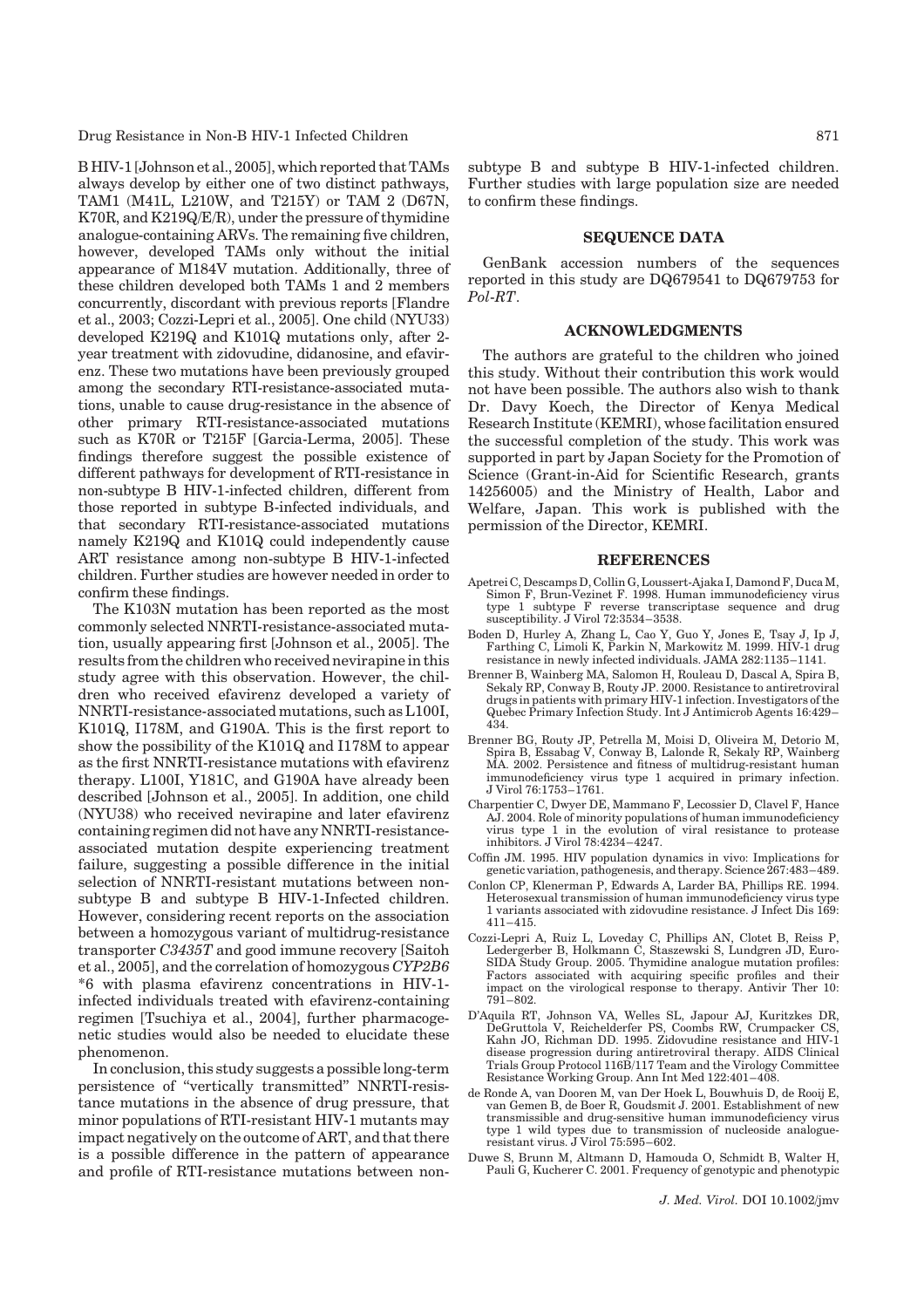Drug Resistance in Non-B HIV-1 Infected Children 871

B HIV-1 [Johnson et al., 2005], which reported that TAMs always develop by either one of two distinct pathways, TAM1 (M41L, L210W, and T215Y) or TAM 2 (D67N, K70R, and  $K219Q/E/R$ ), under the pressure of thymidine analogue-containing ARVs. The remaining five children, however, developed TAMs only without the initial appearance of M184V mutation. Additionally, three of these children developed both TAMs 1 and 2 members concurrently, discordant with previous reports [Flandre et al., 2003; Cozzi-Lepri et al., 2005]. One child (NYU33) developed K219Q and K101Q mutations only, after 2 year treatment with zidovudine, didanosine, and efavirenz. These two mutations have been previously grouped among the secondary RTI-resistance-associated mutations, unable to cause drug-resistance in the absence of other primary RTI-resistance-associated mutations such as K70R or T215F [Garcia-Lerma, 2005]. These findings therefore suggest the possible existence of different pathways for development of RTI-resistance in non-subtype B HIV-1-infected children, different from those reported in subtype B-infected individuals, and that secondary RTI-resistance-associated mutations namely K219Q and K101Q could independently cause ART resistance among non-subtype B HIV-1-infected children. Further studies are however needed in order to confirm these findings.

The K103N mutation has been reported as the most commonly selected NNRTI-resistance-associated mutation, usually appearing first [Johnson et al., 2005]. The results from the children who received nevirapine in this study agree with this observation. However, the children who received efavirenz developed a variety of NNRTI-resistance-associated mutations, such asL100I, K101Q, I178M, and G190A. This is the first report to show the possibility of the K101Q and I178M to appear as the first NNRTI-resistance mutations with efavirenz therapy. L100I, Y181C, and G190A have already been described [Johnson et al., 2005]. In addition, one child (NYU38) who received nevirapine and later efavirenz containing regimen did not have any NNRTI-resistanceassociated mutation despite experiencing treatment failure, suggesting a possible difference in the initial selection of NNRTI-resistant mutations between nonsubtype B and subtype B HIV-1-Infected children. However, considering recent reports on the association between a homozygous variant of multidrug-resistance transporter C3435T and good immune recovery [Saitoh et al., 2005], and the correlation of homozygous CYP2B6 \*6 with plasma efavirenz concentrations in HIV-1 infected individuals treated with efavirenz-containing regimen [Tsuchiya et al., 2004], further pharmacogenetic studies would also be needed to elucidate these phenomenon.

In conclusion, this study suggests a possible long-term persistence of ''vertically transmitted'' NNRTI-resistance mutations in the absence of drug pressure, that minor populations of RTI-resistant HIV-1 mutants may impact negatively on the outcome of ART, and that there is a possible difference in the pattern of appearance and profile of RTI-resistance mutations between nonsubtype B and subtype B HIV-1-infected children. Further studies with large population size are needed to confirm these findings.

## SEQUENCE DATA

GenBank accession numbers of the sequences reported in this study are DQ679541 to DQ679753 for Pol-RT.

#### ACKNOWLEDGMENTS

The authors are grateful to the children who joined this study. Without their contribution this work would not have been possible. The authors also wish to thank Dr. Davy Koech, the Director of Kenya Medical Research Institute (KEMRI), whose facilitation ensured the successful completion of the study. This work was supported in part by Japan Society for the Promotion of Science (Grant-in-Aid for Scientific Research, grants 14256005) and the Ministry of Health, Labor and Welfare, Japan. This work is published with the permission of the Director, KEMRI.

#### REFERENCES

- Apetrei C, Descamps D, Collin G,Loussert-Ajaka I, DamondF, Duca M, Simon F, Brun-Vezinet F. 1998. Human immunodeficiency virus type 1 subtype F reverse transcriptase sequence and drug susceptibility. J Virol 72:3534–3538.
- Boden D, Hurley A, Zhang L, Cao Y, Guo Y, Jones E, Tsay J, Ip J, Farthing C, Limoli K, Parkin N, Markowitz M. 1999. HIV-1 drug resistance in newly infected individuals. JAMA 282:1135–1141.
- Brenner B, Wainberg MA, Salomon H, Rouleau D, Dascal A, Spira B, Sekaly RP, Conway B, Routy JP. 2000. Resistance to antiretroviral drugs in patients with primary HIV-1 infection. Investigators ofthe Quebec Primary Infection Study. Int J Antimicrob Agents 16:429– 434.
- Brenner BG, Routy JP, Petrella M, Moisi D, Oliveira M, Detorio M, Spira B, Essabag V, Conway B, Lalonde R, Sekaly RP, Wainberg MA. 2002. Persistence and fitness of multidrug-resistant human immunodeficiency virus type 1 acquired in primary infection. J Virol 76:1753–1761.
- Charpentier C, Dwyer DE, Mammano F, Lecossier D, Clavel F, Hance AJ. 2004. Role of minority populations of human immunodeficiency virus type 1 in the evolution of viral resistance to protease inhibitors. J Virol 78:4234–4247.
- Coffin JM. 1995. HIV population dynamics in vivo: Implications for genetic variation, pathogenesis, and therapy. Science 267:483–489.
- Conlon CP, Klenerman P, Edwards A, Larder BA, Phillips RE. 1994. Heterosexual transmission of human immunodeficiency virus type 1 variants associated with zidovudine resistance. J Infect Dis 169: 411–415.
- Cozzi-Lepri A, Ruiz L, Loveday C, Phillips AN, Clotet B, Reiss P, Ledergerber B, Holkmann C, Staszewski S, Lundgren JD, Euro-SIDA Study Group. 2005. Thymidine analogue mutation profiles: Factors associated with acquiring specific profiles and their impact on the virological response to therapy. Antivir Ther 10: 791–802.
- D'Aquila RT, Johnson VA, Welles SL, Japour AJ, Kuritzkes DR, DeGruttola V, Reichelderfer PS, Coombs RW, Crumpacker CS, Kahn JO, Richman DD. 1995. Zidovudine resistance and HIV-1 disease progression during antiretroviral therapy. AIDS Clinical Trials Group Protocol 116B/117 Team and the Virology Committee Resistance Working Group. Ann Int Med 122:401–408.
- de Ronde A, van Dooren M, van Der Hoek L, Bouwhuis D, de Rooij E, van Gemen B, de Boer R, Goudsmit J. 2001. Establishment of new transmissible and drug-sensitive human immunodeficiency virus type 1 wild types due to transmission of nucleoside analogueresistant virus. J Virol 75:595–602.
- Duwe S, Brunn M, Altmann D, Hamouda O, Schmidt B, Walter H, Pauli G, Kucherer C. 2001. Frequency of genotypic and phenotypic